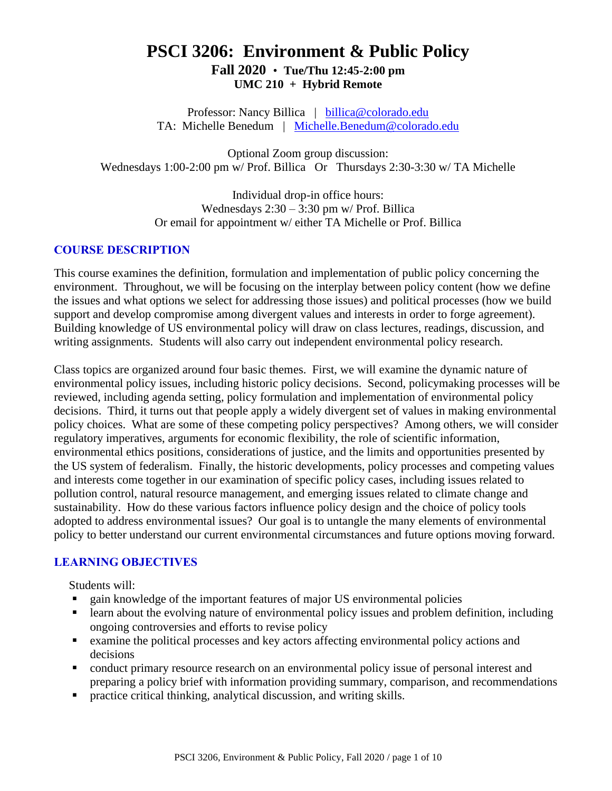# **PSCI 3206: Environment & Public Policy Fall 2020** • **Tue/Thu 12:45-2:00 pm UMC 210 + Hybrid Remote**

Professor: Nancy Billica | [billica@colorado.edu](mailto:billica@colorado.edu) TA: Michelle Benedum | [Michelle.Benedum@colorado.edu](mailto:Michelle.Benedum@colorado.edu)

Optional Zoom group discussion: Wednesdays 1:00-2:00 pm w/ Prof. Billica Or Thursdays 2:30-3:30 w/ TA Michelle

> Individual drop-in office hours: Wednesdays 2:30 – 3:30 pm w/ Prof. Billica Or email for appointment w/ either TA Michelle or Prof. Billica

#### **COURSE DESCRIPTION**

This course examines the definition, formulation and implementation of public policy concerning the environment. Throughout, we will be focusing on the interplay between policy content (how we define the issues and what options we select for addressing those issues) and political processes (how we build support and develop compromise among divergent values and interests in order to forge agreement). Building knowledge of US environmental policy will draw on class lectures, readings, discussion, and writing assignments. Students will also carry out independent environmental policy research.

Class topics are organized around four basic themes. First, we will examine the dynamic nature of environmental policy issues, including historic policy decisions. Second, policymaking processes will be reviewed, including agenda setting, policy formulation and implementation of environmental policy decisions. Third, it turns out that people apply a widely divergent set of values in making environmental policy choices. What are some of these competing policy perspectives? Among others, we will consider regulatory imperatives, arguments for economic flexibility, the role of scientific information, environmental ethics positions, considerations of justice, and the limits and opportunities presented by the US system of federalism. Finally, the historic developments, policy processes and competing values and interests come together in our examination of specific policy cases, including issues related to pollution control, natural resource management, and emerging issues related to climate change and sustainability. How do these various factors influence policy design and the choice of policy tools adopted to address environmental issues? Our goal is to untangle the many elements of environmental policy to better understand our current environmental circumstances and future options moving forward.

### **LEARNING OBJECTIVES**

Students will:

- gain knowledge of the important features of major US environmental policies
- learn about the evolving nature of environmental policy issues and problem definition, including ongoing controversies and efforts to revise policy
- examine the political processes and key actors affecting environmental policy actions and decisions
- conduct primary resource research on an environmental policy issue of personal interest and preparing a policy brief with information providing summary, comparison, and recommendations
- practice critical thinking, analytical discussion, and writing skills.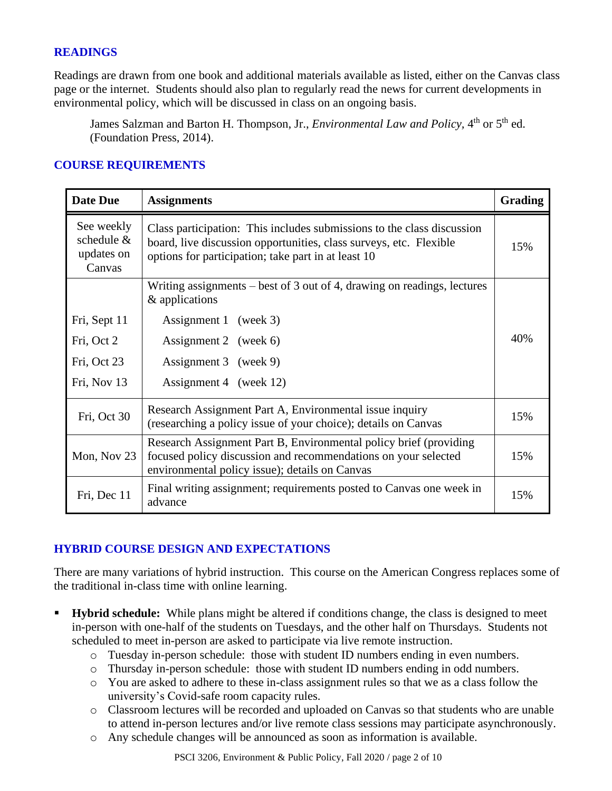#### **READINGS**

Readings are drawn from one book and additional materials available as listed, either on the Canvas class page or the internet. Students should also plan to regularly read the news for current developments in environmental policy, which will be discussed in class on an ongoing basis.

James Salzman and Barton H. Thompson, Jr., *Environmental Law and Policy*, 4<sup>th</sup> or 5<sup>th</sup> ed. (Foundation Press, 2014).

### **COURSE REQUIREMENTS**

| <b>Date Due</b>                                    | <b>Assignments</b>                                                                                                                                                                                  | <b>Grading</b> |
|----------------------------------------------------|-----------------------------------------------------------------------------------------------------------------------------------------------------------------------------------------------------|----------------|
| See weekly<br>schedule $&$<br>updates on<br>Canvas | Class participation: This includes submissions to the class discussion<br>board, live discussion opportunities, class surveys, etc. Flexible<br>options for participation; take part in at least 10 | 15%            |
|                                                    | Writing assignments $-$ best of 3 out of 4, drawing on readings, lectures<br>& applications                                                                                                         |                |
| Fri, Sept 11                                       | Assignment 1 (week 3)                                                                                                                                                                               |                |
| Fri, Oct 2                                         | Assignment 2 (week 6)                                                                                                                                                                               | 40%            |
| Fri, Oct 23                                        | Assignment 3 (week 9)                                                                                                                                                                               |                |
| Fri, Nov 13                                        | Assignment 4 (week 12)                                                                                                                                                                              |                |
| Fri, Oct 30                                        | Research Assignment Part A, Environmental issue inquiry<br>(researching a policy issue of your choice); details on Canvas                                                                           | 15%            |
| Mon, Nov 23                                        | Research Assignment Part B, Environmental policy brief (providing<br>focused policy discussion and recommendations on your selected<br>environmental policy issue); details on Canvas               | 15%            |
| Fri, Dec 11                                        | Final writing assignment; requirements posted to Canvas one week in<br>advance                                                                                                                      | 15%            |

### **HYBRID COURSE DESIGN AND EXPECTATIONS**

There are many variations of hybrid instruction. This course on the American Congress replaces some of the traditional in-class time with online learning.

- **Hybrid schedule:** While plans might be altered if conditions change, the class is designed to meet in-person with one-half of the students on Tuesdays, and the other half on Thursdays. Students not scheduled to meet in-person are asked to participate via live remote instruction.
	- o Tuesday in-person schedule: those with student ID numbers ending in even numbers.
	- o Thursday in-person schedule: those with student ID numbers ending in odd numbers.
	- o You are asked to adhere to these in-class assignment rules so that we as a class follow the university's Covid-safe room capacity rules.
	- o Classroom lectures will be recorded and uploaded on Canvas so that students who are unable to attend in-person lectures and/or live remote class sessions may participate asynchronously.
	- o Any schedule changes will be announced as soon as information is available.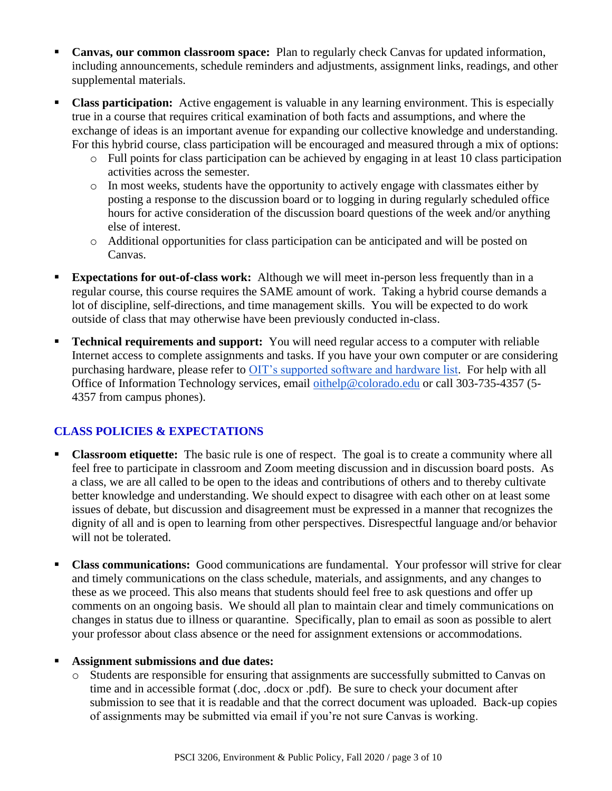- **Canvas, our common classroom space:** Plan to regularly check Canvas for updated information, including announcements, schedule reminders and adjustments, assignment links, readings, and other supplemental materials.
- **Class participation:** Active engagement is valuable in any learning environment. This is especially true in a course that requires critical examination of both facts and assumptions, and where the exchange of ideas is an important avenue for expanding our collective knowledge and understanding. For this hybrid course, class participation will be encouraged and measured through a mix of options:
	- o Full points for class participation can be achieved by engaging in at least 10 class participation activities across the semester.
	- o In most weeks, students have the opportunity to actively engage with classmates either by posting a response to the discussion board or to logging in during regularly scheduled office hours for active consideration of the discussion board questions of the week and/or anything else of interest.
	- o Additional opportunities for class participation can be anticipated and will be posted on Canvas.
- **Expectations for out-of-class work:** Although we will meet in-person less frequently than in a regular course, this course requires the SAME amount of work. Taking a hybrid course demands a lot of discipline, self-directions, and time management skills. You will be expected to do work outside of class that may otherwise have been previously conducted in-class.
- **Technical requirements and support:** You will need regular access to a computer with reliable Internet access to complete assignments and tasks. If you have your own computer or are considering purchasing hardware, please refer to [OIT's supported software and hardware list.](https://oit.colorado.edu/software-hardware/supported-software-hardware-list) For help with all Office of Information Technology services, email [oithelp@colorado.edu](mailto:oithelp@colorado.edu) or call 303-735-4357 (5- 4357 from campus phones).

### **CLASS POLICIES & EXPECTATIONS**

- **Classroom etiquette:** The basic rule is one of respect. The goal is to create a community where all feel free to participate in classroom and Zoom meeting discussion and in discussion board posts. As a class, we are all called to be open to the ideas and contributions of others and to thereby cultivate better knowledge and understanding. We should expect to disagree with each other on at least some issues of debate, but discussion and disagreement must be expressed in a manner that recognizes the dignity of all and is open to learning from other perspectives. Disrespectful language and/or behavior will not be tolerated.
- **Class communications:** Good communications are fundamental. Your professor will strive for clear and timely communications on the class schedule, materials, and assignments, and any changes to these as we proceed. This also means that students should feel free to ask questions and offer up comments on an ongoing basis. We should all plan to maintain clear and timely communications on changes in status due to illness or quarantine. Specifically, plan to email as soon as possible to alert your professor about class absence or the need for assignment extensions or accommodations.

#### Assignment submissions and due dates:

o Students are responsible for ensuring that assignments are successfully submitted to Canvas on time and in accessible format (.doc, .docx or .pdf). Be sure to check your document after submission to see that it is readable and that the correct document was uploaded. Back-up copies of assignments may be submitted via email if you're not sure Canvas is working.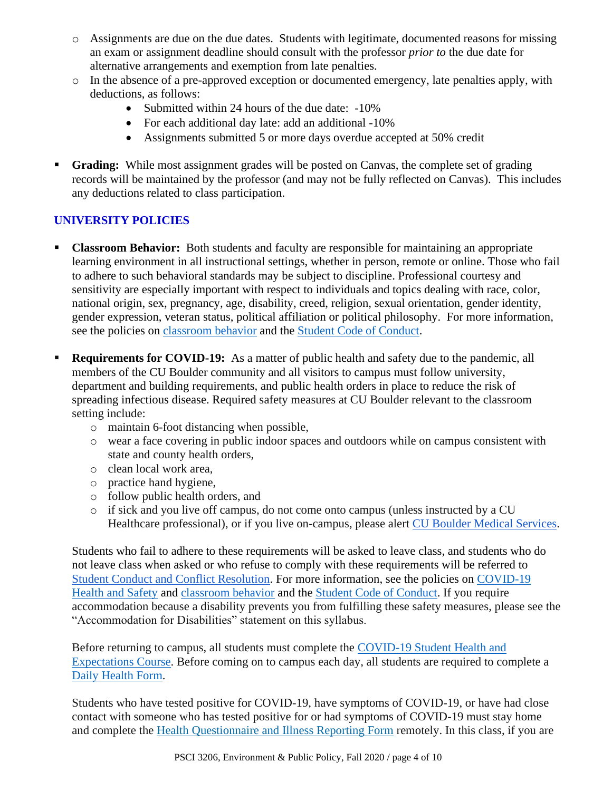- o Assignments are due on the due dates. Students with legitimate, documented reasons for missing an exam or assignment deadline should consult with the professor *prior to* the due date for alternative arrangements and exemption from late penalties.
- o In the absence of a pre-approved exception or documented emergency, late penalties apply, with deductions, as follows:
	- Submitted within 24 hours of the due date: -10%
	- For each additional day late: add an additional -10%
	- Assignments submitted 5 or more days overdue accepted at 50% credit
- **Grading:** While most assignment grades will be posted on Canvas, the complete set of grading records will be maintained by the professor (and may not be fully reflected on Canvas). This includes any deductions related to class participation.

## **UNIVERSITY POLICIES**

- **Classroom Behavior:** Both students and faculty are responsible for maintaining an appropriate learning environment in all instructional settings, whether in person, remote or online. Those who fail to adhere to such behavioral standards may be subject to discipline. Professional courtesy and sensitivity are especially important with respect to individuals and topics dealing with race, color, national origin, sex, pregnancy, age, disability, creed, religion, sexual orientation, gender identity, gender expression, veteran status, political affiliation or political philosophy. For more information, see the policies on [classroom behavior](http://www.colorado.edu/policies/student-classroom-and-course-related-behavior) and the [Student Code of Conduct.](https://www.colorado.edu/sccr/sites/default/files/attached-files/2019-2020_student_code_of_conduct_0.pdf)
- **Requirements for COVID-19:** As a matter of public health and safety due to the pandemic, all members of the CU Boulder community and all visitors to campus must follow university, department and building requirements, and public health orders in place to reduce the risk of spreading infectious disease. Required safety measures at CU Boulder relevant to the classroom setting include:
	- o maintain 6-foot distancing when possible,
	- o wear a face covering in public indoor spaces and outdoors while on campus consistent with state and county health orders,
	- o clean local work area,
	- o practice hand hygiene,
	- o follow public health orders, and
	- o if sick and you live off campus, do not come onto campus (unless instructed by a CU Healthcare professional), or if you live on-campus, please alert [CU Boulder Medical Services.](https://www.colorado.edu/healthcenter/coronavirus-updates/symptoms-and-what-do-if-you-feel-sick)

Students who fail to adhere to these requirements will be asked to leave class, and students who do not leave class when asked or who refuse to comply with these requirements will be referred to [Student Conduct and Conflict Resolution.](https://www.colorado.edu/sccr/) For more information, see the policies on [COVID-19](https://www.colorado.edu/policies/covid-19-health-and-safety-policy)  [Health and Safety](https://www.colorado.edu/policies/covid-19-health-and-safety-policy) and [classroom behavior](http://www.colorado.edu/policies/student-classroom-and-course-related-behavior) and the [Student Code of Conduct.](http://www.colorado.edu/osccr/) If you require accommodation because a disability prevents you from fulfilling these safety measures, please see the "Accommodation for Disabilities" statement on this syllabus.

Before returning to campus, all students must complete the [COVID-19 Student Health and](https://www.colorado.edu/protect-our-herd/how#anchor1)  [Expectations Course.](https://www.colorado.edu/protect-our-herd/how#anchor1) Before coming on to campus each day, all students are required to complete a [Daily Health Form.](https://www.colorado.edu/protect-our-herd/daily-health-form)

Students who have tested positive for COVID-19, have symptoms of COVID-19, or have had close contact with someone who has tested positive for or had symptoms of COVID-19 must stay home and complete the [Health Questionnaire and Illness Reporting Form](https://www.colorado.edu/protect-our-herd/daily-health-form) remotely. In this class, if you are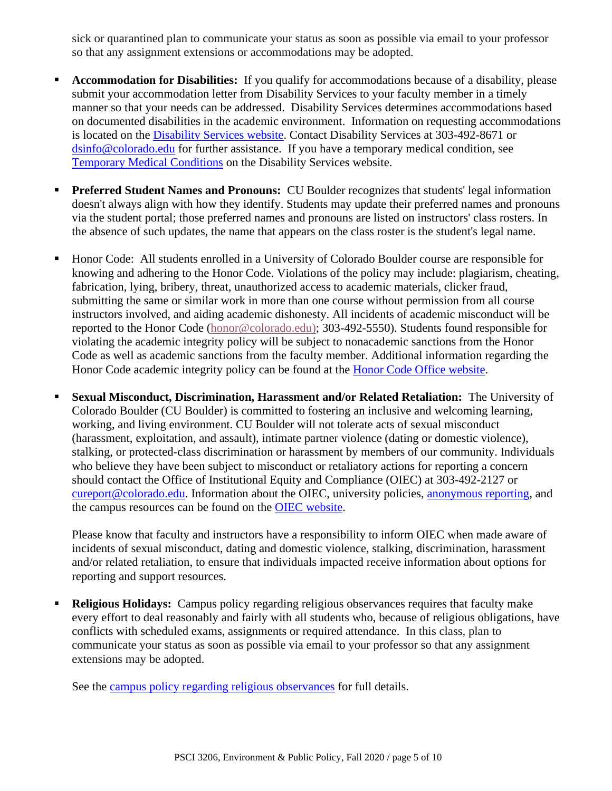sick or quarantined plan to communicate your status as soon as possible via email to your professor so that any assignment extensions or accommodations may be adopted.

- **Accommodation for Disabilities:** If you qualify for accommodations because of a disability, please submit your accommodation letter from Disability Services to your faculty member in a timely manner so that your needs can be addressed. Disability Services determines accommodations based on documented disabilities in the academic environment. Information on requesting accommodations is located on the [Disability Services website.](https://www.colorado.edu/disabilityservices/) Contact Disability Services at 303-492-8671 or [dsinfo@colorado.edu](mailto:dsinfo@colorado.edu) for further assistance. If you have a temporary medical condition, see [Temporary Medical Conditions](http://www.colorado.edu/disabilityservices/students/temporary-medical-conditions) on the Disability Services website.
- Preferred Student Names and Pronouns: CU Boulder recognizes that students' legal information doesn't always align with how they identify. Students may update their preferred names and pronouns via the student portal; those preferred names and pronouns are listed on instructors' class rosters. In the absence of such updates, the name that appears on the class roster is the student's legal name.
- Honor Code: All students enrolled in a University of Colorado Boulder course are responsible for knowing and adhering to the Honor Code. Violations of the policy may include: plagiarism, cheating, fabrication, lying, bribery, threat, unauthorized access to academic materials, clicker fraud, submitting the same or similar work in more than one course without permission from all course instructors involved, and aiding academic dishonesty. All incidents of academic misconduct will be reported to the Honor Code [\(honor@colorado.edu\)](mailto:honor@colorado.edu); 303-492-5550). Students found responsible for violating the academic integrity policy will be subject to nonacademic sanctions from the Honor Code as well as academic sanctions from the faculty member. Additional information regarding the Honor Code academic integrity policy can be found at the [Honor Code Office website.](https://www.colorado.edu/osccr/honor-code)
- **Sexual Misconduct, Discrimination, Harassment and/or Related Retaliation:** The University of Colorado Boulder (CU Boulder) is committed to fostering an inclusive and welcoming learning, working, and living environment. CU Boulder will not tolerate acts of sexual misconduct (harassment, exploitation, and assault), intimate partner violence (dating or domestic violence), stalking, or protected-class discrimination or harassment by members of our community. Individuals who believe they have been subject to misconduct or retaliatory actions for reporting a concern should contact the Office of Institutional Equity and Compliance (OIEC) at 303-492-2127 or [cureport@colorado.edu.](mailto:cureport@colorado.edu) Information about the OIEC, university policies, [anonymous reporting,](https://cuboulder.qualtrics.com/jfe/form/SV_0PnqVK4kkIJIZnf) and the campus resources can be found on the [OIEC website.](http://www.colorado.edu/institutionalequity/)

Please know that faculty and instructors have a responsibility to inform OIEC when made aware of incidents of sexual misconduct, dating and domestic violence, stalking, discrimination, harassment and/or related retaliation, to ensure that individuals impacted receive information about options for reporting and support resources.

**• Religious Holidays:** Campus policy regarding religious observances requires that faculty make every effort to deal reasonably and fairly with all students who, because of religious obligations, have conflicts with scheduled exams, assignments or required attendance. In this class, plan to communicate your status as soon as possible via email to your professor so that any assignment extensions may be adopted.

See the [campus policy regarding religious observances](http://www.colorado.edu/policies/observance-religious-holidays-and-absences-classes-andor-exams) for full details.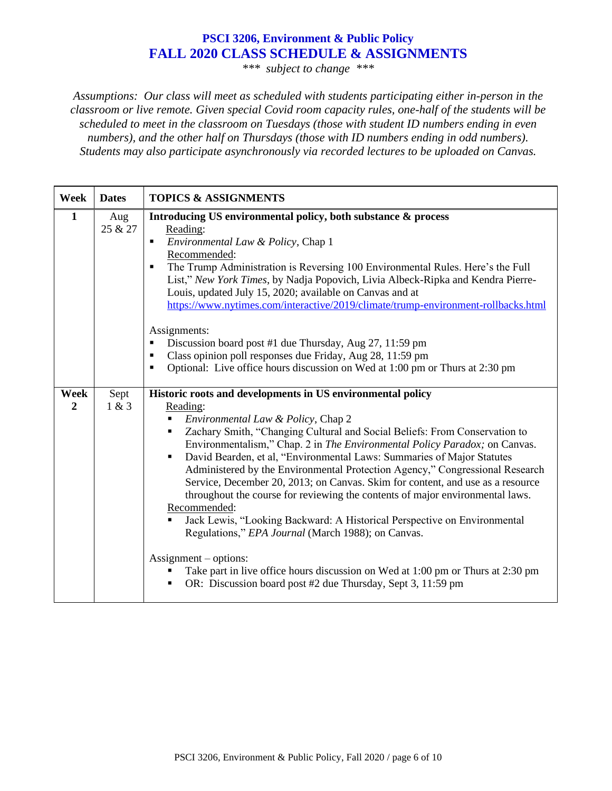### **PSCI 3206, Environment & Public Policy FALL 2020 CLASS SCHEDULE & ASSIGNMENTS**

*\*\*\* subject to change \*\*\**

*Assumptions: Our class will meet as scheduled with students participating either in-person in the classroom or live remote. Given special Covid room capacity rules, one-half of the students will be scheduled to meet in the classroom on Tuesdays (those with student ID numbers ending in even numbers), and the other half on Thursdays (those with ID numbers ending in odd numbers). Students may also participate asynchronously via recorded lectures to be uploaded on Canvas.*

| <b>Week</b>            | <b>Dates</b>   | <b>TOPICS &amp; ASSIGNMENTS</b>                                                                                                                                                                                                                                                                                                                                                                                                                                                                                                                                                                                                                                                                                                                                                                                                                                                                                                                                              |
|------------------------|----------------|------------------------------------------------------------------------------------------------------------------------------------------------------------------------------------------------------------------------------------------------------------------------------------------------------------------------------------------------------------------------------------------------------------------------------------------------------------------------------------------------------------------------------------------------------------------------------------------------------------------------------------------------------------------------------------------------------------------------------------------------------------------------------------------------------------------------------------------------------------------------------------------------------------------------------------------------------------------------------|
| $\mathbf{1}$           | Aug<br>25 & 27 | Introducing US environmental policy, both substance & process<br>Reading:<br>Environmental Law & Policy, Chap 1<br>$\blacksquare$<br>Recommended:<br>The Trump Administration is Reversing 100 Environmental Rules. Here's the Full<br>$\blacksquare$<br>List," New York Times, by Nadja Popovich, Livia Albeck-Ripka and Kendra Pierre-<br>Louis, updated July 15, 2020; available on Canvas and at<br>https://www.nytimes.com/interactive/2019/climate/trump-environment-rollbacks.html<br>Assignments:<br>Discussion board post #1 due Thursday, Aug 27, 11:59 pm<br>٠<br>Class opinion poll responses due Friday, Aug 28, 11:59 pm<br>٠<br>Optional: Live office hours discussion on Wed at 1:00 pm or Thurs at 2:30 pm<br>$\blacksquare$                                                                                                                                                                                                                                |
| Week<br>$\overline{2}$ | Sept<br>1 & 3  | Historic roots and developments in US environmental policy<br>Reading:<br>Environmental Law & Policy, Chap 2<br>٠<br>Zachary Smith, "Changing Cultural and Social Beliefs: From Conservation to<br>٠<br>Environmentalism," Chap. 2 in The Environmental Policy Paradox; on Canvas.<br>David Bearden, et al, "Environmental Laws: Summaries of Major Statutes<br>$\blacksquare$<br>Administered by the Environmental Protection Agency," Congressional Research<br>Service, December 20, 2013; on Canvas. Skim for content, and use as a resource<br>throughout the course for reviewing the contents of major environmental laws.<br>Recommended:<br>Jack Lewis, "Looking Backward: A Historical Perspective on Environmental<br>Regulations," EPA Journal (March 1988); on Canvas.<br>$\text{Assignment}-\text{options}:$<br>Take part in live office hours discussion on Wed at 1:00 pm or Thurs at 2:30 pm<br>OR: Discussion board post #2 due Thursday, Sept 3, 11:59 pm |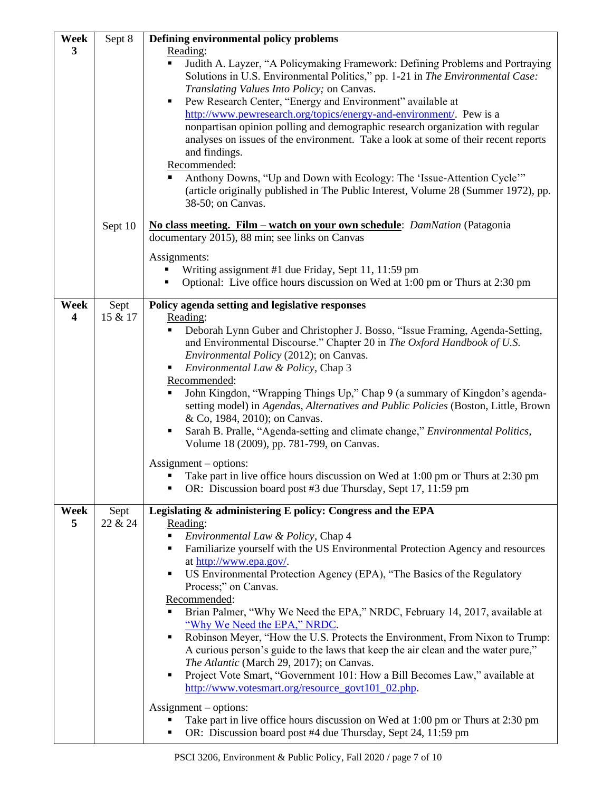| Week                            | Sept 8          | Defining environmental policy problems                                                                                                                                                                                                                                                                                                                                                                                                                                                                                                                                                                                                                                                                                                                                                                                                                                                                                                                                                                                             |
|---------------------------------|-----------------|------------------------------------------------------------------------------------------------------------------------------------------------------------------------------------------------------------------------------------------------------------------------------------------------------------------------------------------------------------------------------------------------------------------------------------------------------------------------------------------------------------------------------------------------------------------------------------------------------------------------------------------------------------------------------------------------------------------------------------------------------------------------------------------------------------------------------------------------------------------------------------------------------------------------------------------------------------------------------------------------------------------------------------|
| 3                               |                 | Reading:<br>Judith A. Layzer, "A Policymaking Framework: Defining Problems and Portraying<br>٠<br>Solutions in U.S. Environmental Politics," pp. 1-21 in The Environmental Case:<br>Translating Values Into Policy; on Canvas.<br>Pew Research Center, "Energy and Environment" available at<br>٠<br>http://www.pewresearch.org/topics/energy-and-environment/. Pew is a<br>nonpartisan opinion polling and demographic research organization with regular<br>analyses on issues of the environment. Take a look at some of their recent reports<br>and findings.<br>Recommended:<br>Anthony Downs, "Up and Down with Ecology: The 'Issue-Attention Cycle'"<br>(article originally published in The Public Interest, Volume 28 (Summer 1972), pp.<br>38-50; on Canvas.                                                                                                                                                                                                                                                             |
|                                 | Sept 10         | No class meeting. Film – watch on your own schedule: <i>DamNation</i> (Patagonia<br>documentary 2015), 88 min; see links on Canvas<br>Assignments:<br>Writing assignment #1 due Friday, Sept 11, 11:59 pm                                                                                                                                                                                                                                                                                                                                                                                                                                                                                                                                                                                                                                                                                                                                                                                                                          |
|                                 |                 | Optional: Live office hours discussion on Wed at 1:00 pm or Thurs at 2:30 pm                                                                                                                                                                                                                                                                                                                                                                                                                                                                                                                                                                                                                                                                                                                                                                                                                                                                                                                                                       |
| Week<br>$\overline{\mathbf{4}}$ | Sept<br>15 & 17 | Policy agenda setting and legislative responses<br>Reading:<br>Deborah Lynn Guber and Christopher J. Bosso, "Issue Framing, Agenda-Setting,<br>and Environmental Discourse." Chapter 20 in The Oxford Handbook of U.S.<br>Environmental Policy (2012); on Canvas.<br>Environmental Law & Policy, Chap 3<br>٠<br>Recommended:<br>John Kingdon, "Wrapping Things Up," Chap 9 (a summary of Kingdon's agenda-<br>٠<br>setting model) in Agendas, Alternatives and Public Policies (Boston, Little, Brown<br>& Co, 1984, 2010); on Canvas.<br>Sarah B. Pralle, "Agenda-setting and climate change," Environmental Politics,<br>٠<br>Volume 18 (2009), pp. 781-799, on Canvas.<br>$\text{Assignment}-\text{options}:$<br>Take part in live office hours discussion on Wed at 1:00 pm or Thurs at 2:30 pm<br>OR: Discussion board post #3 due Thursday, Sept 17, 11:59 pm                                                                                                                                                                |
| Week<br>5                       | Sept<br>22 & 24 | Legislating & administering E policy: Congress and the EPA<br>Reading:<br>Environmental Law & Policy, Chap 4<br>Familiarize yourself with the US Environmental Protection Agency and resources<br>п<br>at http://www.epa.gov/.<br>US Environmental Protection Agency (EPA), "The Basics of the Regulatory<br>٠<br>Process;" on Canvas.<br>Recommended:<br>Brian Palmer, "Why We Need the EPA," NRDC, February 14, 2017, available at<br>"Why We Need the EPA," NRDC.<br>Robinson Meyer, "How the U.S. Protects the Environment, From Nixon to Trump:<br>٠<br>A curious person's guide to the laws that keep the air clean and the water pure,"<br>The Atlantic (March 29, 2017); on Canvas.<br>Project Vote Smart, "Government 101: How a Bill Becomes Law," available at<br>٠<br>http://www.votesmart.org/resource_govt101_02.php.<br>$\text{Assignment}-\text{options}:$<br>Take part in live office hours discussion on Wed at 1:00 pm or Thurs at 2:30 pm<br>OR: Discussion board post #4 due Thursday, Sept 24, 11:59 pm<br>п |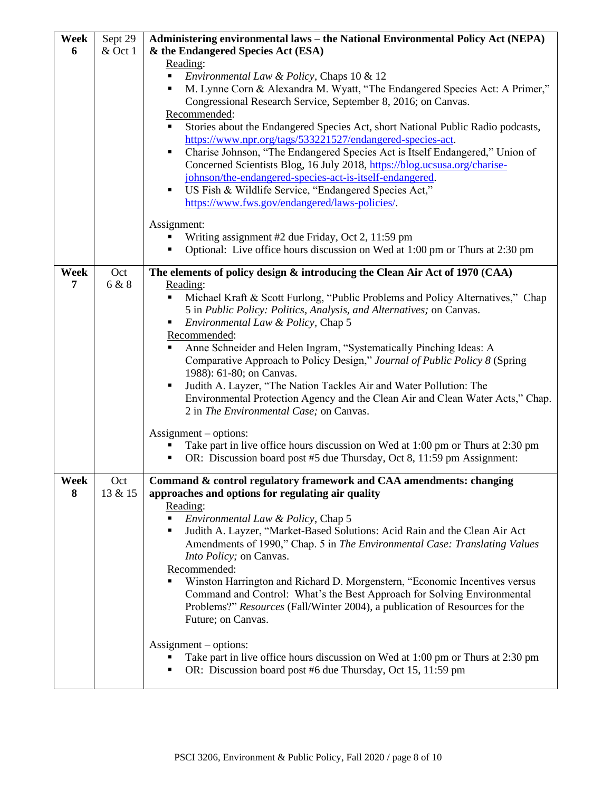| Week      | Sept 29        | Administering environmental laws - the National Environmental Policy Act (NEPA)                                                                     |  |
|-----------|----------------|-----------------------------------------------------------------------------------------------------------------------------------------------------|--|
| 6         | & Oct 1        | & the Endangered Species Act (ESA)                                                                                                                  |  |
|           |                | Reading:                                                                                                                                            |  |
|           |                | Environmental Law & Policy, Chaps 10 & 12<br>٠                                                                                                      |  |
|           |                | M. Lynne Corn & Alexandra M. Wyatt, "The Endangered Species Act: A Primer,"                                                                         |  |
|           |                | Congressional Research Service, September 8, 2016; on Canvas.                                                                                       |  |
|           |                | Recommended:                                                                                                                                        |  |
|           |                | Stories about the Endangered Species Act, short National Public Radio podcasts,<br>٠                                                                |  |
|           |                | https://www.npr.org/tags/533221527/endangered-species-act.                                                                                          |  |
|           |                | Charise Johnson, "The Endangered Species Act is Itself Endangered," Union of                                                                        |  |
|           |                | Concerned Scientists Blog, 16 July 2018, https://blog.ucsusa.org/charise-                                                                           |  |
|           |                | johnson/the-endangered-species-act-is-itself-endangered.                                                                                            |  |
|           |                | US Fish & Wildlife Service, "Endangered Species Act,"<br>٠                                                                                          |  |
|           |                | https://www.fws.gov/endangered/laws-policies/.                                                                                                      |  |
|           |                | Assignment:                                                                                                                                         |  |
|           |                | Writing assignment #2 due Friday, Oct 2, 11:59 pm                                                                                                   |  |
|           |                | Optional: Live office hours discussion on Wed at 1:00 pm or Thurs at 2:30 pm<br>Ξ                                                                   |  |
| Week      | Oct            | The elements of policy design & introducing the Clean Air Act of 1970 (CAA)                                                                         |  |
| 7         | 6 & 8          | Reading:                                                                                                                                            |  |
|           |                | Michael Kraft & Scott Furlong, "Public Problems and Policy Alternatives," Chap                                                                      |  |
|           |                | 5 in Public Policy: Politics, Analysis, and Alternatives; on Canvas.                                                                                |  |
|           |                | Environmental Law & Policy, Chap 5<br>٠                                                                                                             |  |
|           |                | Recommended:                                                                                                                                        |  |
|           |                | Anne Schneider and Helen Ingram, "Systematically Pinching Ideas: A<br>٠                                                                             |  |
|           |                | Comparative Approach to Policy Design," Journal of Public Policy 8 (Spring                                                                          |  |
|           |                | 1988): 61-80; on Canvas.                                                                                                                            |  |
|           |                | Judith A. Layzer, "The Nation Tackles Air and Water Pollution: The<br>٠                                                                             |  |
|           |                | Environmental Protection Agency and the Clean Air and Clean Water Acts," Chap.                                                                      |  |
|           |                | 2 in The Environmental Case; on Canvas.                                                                                                             |  |
|           |                | $\text{Assignment}-\text{options}:$                                                                                                                 |  |
|           |                | Take part in live office hours discussion on Wed at 1:00 pm or Thurs at 2:30 pm                                                                     |  |
|           |                | OR: Discussion board post #5 due Thursday, Oct 8, 11:59 pm Assignment:<br>٠                                                                         |  |
|           |                |                                                                                                                                                     |  |
| Week<br>8 | Oct<br>13 & 15 | Command & control regulatory framework and CAA amendments: changing<br>approaches and options for regulating air quality                            |  |
|           |                | Reading:                                                                                                                                            |  |
|           |                | Environmental Law & Policy, Chap 5<br>٠                                                                                                             |  |
|           |                | Judith A. Layzer, "Market-Based Solutions: Acid Rain and the Clean Air Act<br>٠                                                                     |  |
|           |                | Amendments of 1990," Chap. 5 in The Environmental Case: Translating Values                                                                          |  |
|           |                | Into Policy; on Canvas.                                                                                                                             |  |
|           |                | Recommended:                                                                                                                                        |  |
|           |                | Winston Harrington and Richard D. Morgenstern, "Economic Incentives versus                                                                          |  |
|           |                | Command and Control: What's the Best Approach for Solving Environmental                                                                             |  |
|           |                | Problems?" Resources (Fall/Winter 2004), a publication of Resources for the                                                                         |  |
|           |                | Future; on Canvas.                                                                                                                                  |  |
|           |                |                                                                                                                                                     |  |
|           |                | $\text{Assignment}-\text{options}:$                                                                                                                 |  |
|           |                | Take part in live office hours discussion on Wed at 1:00 pm or Thurs at 2:30 pm<br>OR: Discussion board post #6 due Thursday, Oct 15, 11:59 pm<br>٠ |  |
|           |                |                                                                                                                                                     |  |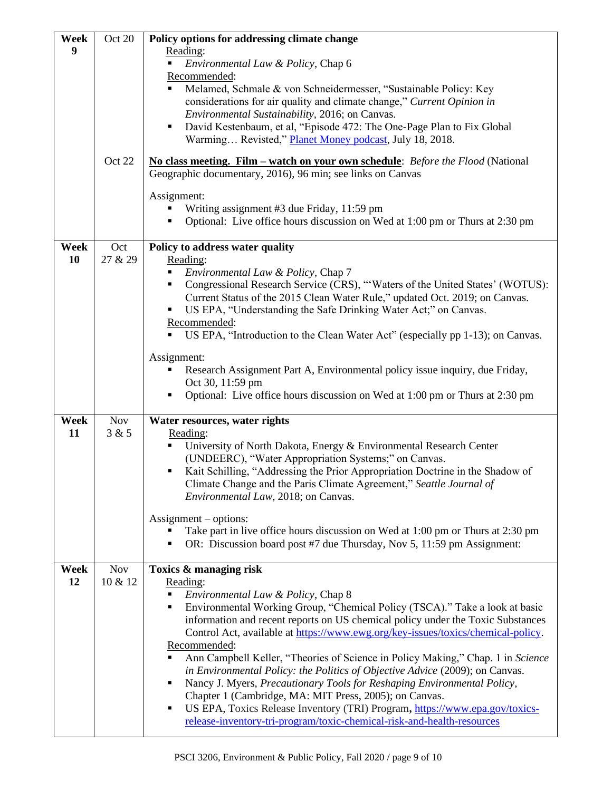| Week | Oct 20     | Policy options for addressing climate change                                                                                                                      |
|------|------------|-------------------------------------------------------------------------------------------------------------------------------------------------------------------|
| 9    |            | Reading:                                                                                                                                                          |
|      |            | Environmental Law & Policy, Chap 6<br>٠<br>Recommended:                                                                                                           |
|      |            | Melamed, Schmale & von Schneidermesser, "Sustainable Policy: Key                                                                                                  |
|      |            | considerations for air quality and climate change," Current Opinion in                                                                                            |
|      |            | Environmental Sustainability, 2016; on Canvas.                                                                                                                    |
|      |            | David Kestenbaum, et al, "Episode 472: The One-Page Plan to Fix Global<br>٠<br>Warming Revisted," Planet Money podcast, July 18, 2018.                            |
|      | Oct 22     | No class meeting. Film – watch on your own schedule: Before the Flood (National<br>Geographic documentary, 2016), 96 min; see links on Canvas                     |
|      |            | Assignment:                                                                                                                                                       |
|      |            | Writing assignment #3 due Friday, 11:59 pm                                                                                                                        |
|      |            | Optional: Live office hours discussion on Wed at 1:00 pm or Thurs at 2:30 pm                                                                                      |
| Week | Oct        | Policy to address water quality                                                                                                                                   |
| 10   | 27 & 29    | Reading:                                                                                                                                                          |
|      |            | Environmental Law & Policy, Chap 7                                                                                                                                |
|      |            | Congressional Research Service (CRS), "'Waters of the United States' (WOTUS):<br>п<br>Current Status of the 2015 Clean Water Rule," updated Oct. 2019; on Canvas. |
|      |            | US EPA, "Understanding the Safe Drinking Water Act;" on Canvas.                                                                                                   |
|      |            | Recommended:                                                                                                                                                      |
|      |            | US EPA, "Introduction to the Clean Water Act" (especially pp 1-13); on Canvas.                                                                                    |
|      |            | Assignment:                                                                                                                                                       |
|      |            | Research Assignment Part A, Environmental policy issue inquiry, due Friday,                                                                                       |
|      |            | Oct 30, 11:59 pm<br>Optional: Live office hours discussion on Wed at 1:00 pm or Thurs at 2:30 pm                                                                  |
|      |            |                                                                                                                                                                   |
| Week | <b>Nov</b> | Water resources, water rights                                                                                                                                     |
| 11   | 3 & 5      | Reading:<br>Ξ                                                                                                                                                     |
|      |            | University of North Dakota, Energy & Environmental Research Center<br>(UNDEERC), "Water Appropriation Systems;" on Canvas.                                        |
|      |            | Kait Schilling, "Addressing the Prior Appropriation Doctrine in the Shadow of<br>п                                                                                |
|      |            | Climate Change and the Paris Climate Agreement," Seattle Journal of                                                                                               |
|      |            | Environmental Law, 2018; on Canvas.                                                                                                                               |
|      |            | $\text{Assignment}-\text{options}:$                                                                                                                               |
|      |            | Take part in live office hours discussion on Wed at 1:00 pm or Thurs at 2:30 pm                                                                                   |
|      |            | OR: Discussion board post #7 due Thursday, Nov 5, 11:59 pm Assignment:                                                                                            |
| Week | <b>Nov</b> | Toxics & managing risk                                                                                                                                            |
| 12   | 10 & 12    | Reading:                                                                                                                                                          |
|      |            | Environmental Law & Policy, Chap 8<br>Environmental Working Group, "Chemical Policy (TSCA)." Take a look at basic<br>Ξ                                            |
|      |            | information and recent reports on US chemical policy under the Toxic Substances                                                                                   |
|      |            | Control Act, available at https://www.ewg.org/key-issues/toxics/chemical-policy.                                                                                  |
|      |            | Recommended:                                                                                                                                                      |
|      |            | Ann Campbell Keller, "Theories of Science in Policy Making," Chap. 1 in Science<br>in Environmental Policy: the Politics of Objective Advice (2009); on Canvas.   |
|      |            | Nancy J. Myers, Precautionary Tools for Reshaping Environmental Policy,                                                                                           |
|      |            | Chapter 1 (Cambridge, MA: MIT Press, 2005); on Canvas.                                                                                                            |
|      |            | US EPA, Toxics Release Inventory (TRI) Program, https://www.epa.gov/toxics-<br>٠                                                                                  |
|      |            | release-inventory-tri-program/toxic-chemical-risk-and-health-resources                                                                                            |